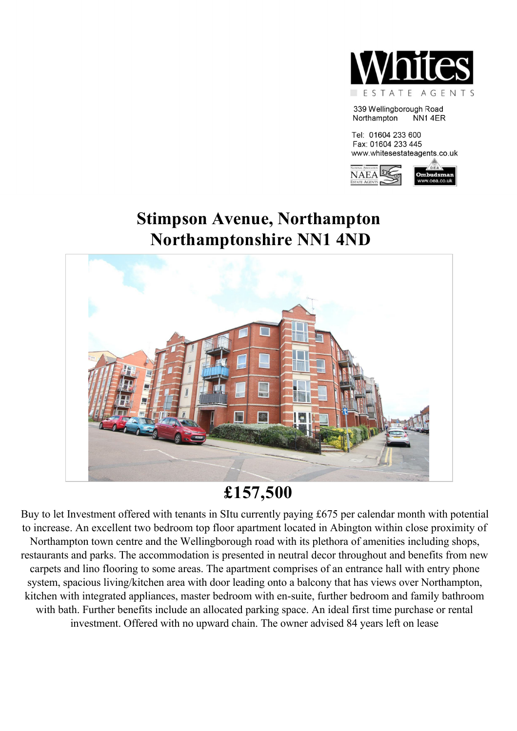

339 Wellingborough Road NN14ER Northampton

Tel: 01604 233 600 Fax: 01604 233 445 www.whitesestateagents.co.uk



# **Stimpson Avenue, Northampton Northamptonshire NN1 4ND**



# **£157,500**

Buy to let Investment offered with tenants in SItu currently paying £675 per calendar month with potential to increase. An excellent two bedroom top floor apartment located in Abington within close proximity of Northampton town centre and the Wellingborough road with its plethora of amenities including shops, restaurants and parks. The accommodation is presented in neutral decor throughout and benefits from new carpets and lino flooring to some areas. The apartment comprises of an entrance hall with entry phone system, spacious living/kitchen area with door leading onto a balcony that has views over Northampton, kitchen with integrated appliances, master bedroom with en-suite, further bedroom and family bathroom with bath. Further benefits include an allocated parking space. An ideal first time purchase or rental investment. Offered with no upward chain. The owner advised 84 years left on lease